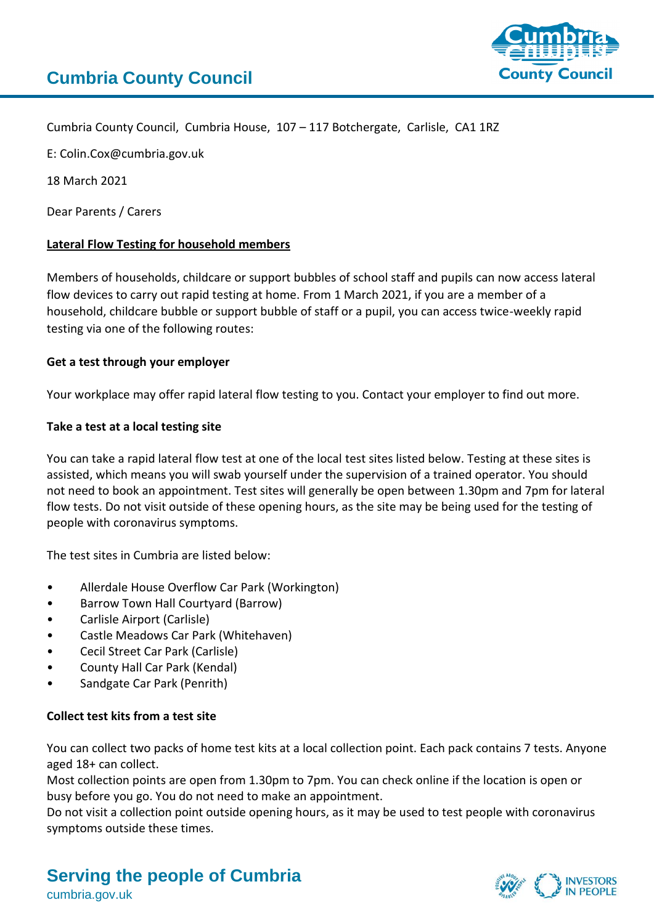

Cumbria County Council, Cumbria House, 107 – 117 Botchergate, Carlisle, CA1 1RZ

E: Colin.Cox@cumbria.gov.uk

18 March 2021

Dear Parents / Carers

# **Lateral Flow Testing for household members**

Members of households, childcare or support bubbles of school staff and pupils can now access lateral flow devices to carry out rapid testing at home. From 1 March 2021, if you are a member of a household, childcare bubble or support bubble of staff or a pupil, you can access twice-weekly rapid testing via one of the following routes:

# **Get a test through your employer**

Your workplace may offer rapid lateral flow testing to you. Contact your employer to find out more.

# **Take a test at a local testing site**

You can take a rapid lateral flow test at one of the local test sites listed below. Testing at these sites is assisted, which means you will swab yourself under the supervision of a trained operator. You should not need to book an appointment. Test sites will generally be open between 1.30pm and 7pm for lateral flow tests. Do not visit outside of these opening hours, as the site may be being used for the testing of people with coronavirus symptoms.

The test sites in Cumbria are listed below:

- Allerdale House Overflow Car Park (Workington)
- Barrow Town Hall Courtyard (Barrow)
- Carlisle Airport (Carlisle)
- Castle Meadows Car Park (Whitehaven)
- Cecil Street Car Park (Carlisle)
- County Hall Car Park (Kendal)
- Sandgate Car Park (Penrith)

### **Collect test kits from a test site**

You can collect two packs of home test kits at a local collection point. Each pack contains 7 tests. Anyone aged 18+ can collect.

Most collection points are open from 1.30pm to 7pm. You can check online if the location is open or busy before you go. You do not need to make an appointment.

Do not visit a collection point outside opening hours, as it may be used to test people with coronavirus symptoms outside these times.

# **Serving the people of Cumbria**



cumbria.gov.uk